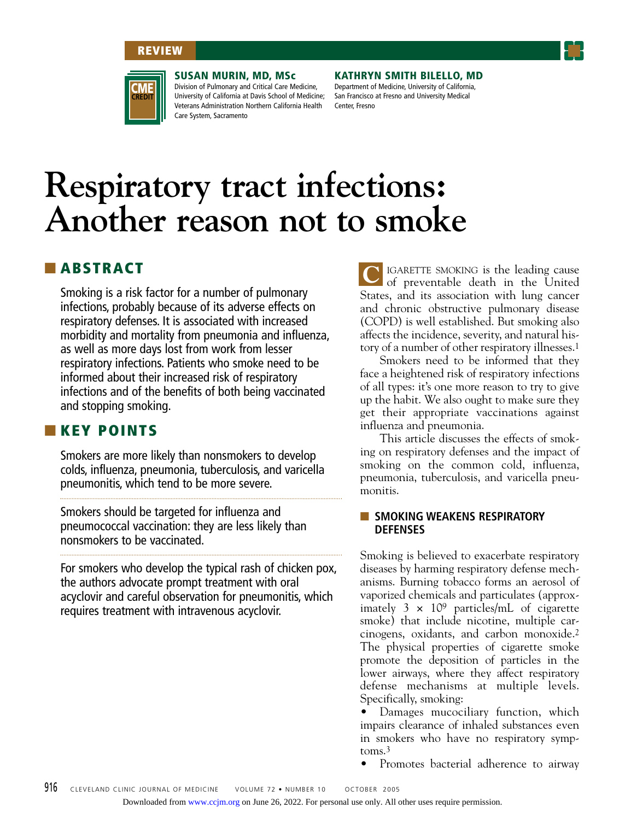## **REVIEW**





**SUSAN MURIN, MD, MSc**

Division of Pulmonary and Critical Care Medicine, University of California at Davis School of Medicine; Veterans Administration Northern California Health Care System, Sacramento

**KATHRYN SMITH BILELLO, MD**

Department of Medicine, University of California, San Francisco at Fresno and University Medical Center, Fresno

# **Respiratory tract infections: Another reason not to smoke**

# ■ **ABSTRACT**

Smoking is a risk factor for a number of pulmonary infections, probably because of its adverse effects on respiratory defenses. It is associated with increased morbidity and mortality from pneumonia and influenza, as well as more days lost from work from lesser respiratory infections. Patients who smoke need to be informed about their increased risk of respiratory infections and of the benefits of both being vaccinated and stopping smoking.

# ■ **KEY POINTS**

Smokers are more likely than nonsmokers to develop colds, influenza, pneumonia, tuberculosis, and varicella pneumonitis, which tend to be more severe.

Smokers should be targeted for influenza and pneumococcal vaccination: they are less likely than nonsmokers to be vaccinated.

For smokers who develop the typical rash of chicken pox, the authors advocate prompt treatment with oral acyclovir and careful observation for pneumonitis, which requires treatment with intravenous acyclovir.

IGARETTE SMOKING is the leading cause of preventable death in the United States, and its association with lung cancer and chronic obstructive pulmonary disease (COPD) is well established. But smoking also affects the incidence, severity, and natural history of a number of other respiratory illnesses.1 **C**

Smokers need to be informed that they face a heightened risk of respiratory infections of all types: it's one more reason to try to give up the habit. We also ought to make sure they get their appropriate vaccinations against influenza and pneumonia.

This article discusses the effects of smoking on respiratory defenses and the impact of smoking on the common cold, influenza, pneumonia, tuberculosis, and varicella pneumonitis.

## ■ **SMOKING WEAKENS RESPIRATORY DEFENSES**

Smoking is believed to exacerbate respiratory diseases by harming respiratory defense mechanisms. Burning tobacco forms an aerosol of vaporized chemicals and particulates (approximately  $3 \times 10^9$  particles/mL of cigarette smoke) that include nicotine, multiple carcinogens, oxidants, and carbon monoxide.2 The physical properties of cigarette smoke promote the deposition of particles in the lower airways, where they affect respiratory defense mechanisms at multiple levels. Specifically, smoking:

• Damages mucociliary function, which impairs clearance of inhaled substances even in smokers who have no respiratory symptoms.3

• Promotes bacterial adherence to airway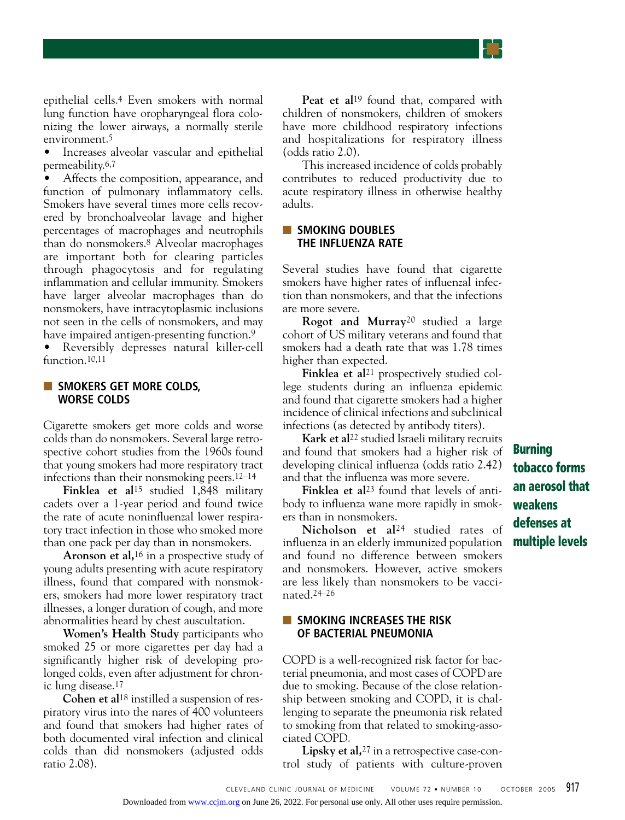epithelial cells.4 Even smokers with normal lung function have oropharyngeal flora colonizing the lower airways, a normally sterile environment.5

• Increases alveolar vascular and epithelial permeability.6,7

• Affects the composition, appearance, and function of pulmonary inflammatory cells. Smokers have several times more cells recovered by bronchoalveolar lavage and higher percentages of macrophages and neutrophils than do nonsmokers.8 Alveolar macrophages are important both for clearing particles through phagocytosis and for regulating inflammation and cellular immunity. Smokers have larger alveolar macrophages than do nonsmokers, have intracytoplasmic inclusions not seen in the cells of nonsmokers, and may have impaired antigen-presenting function.<sup>9</sup>

• Reversibly depresses natural killer-cell function.10,11

#### ■ **SMOKERS GET MORE COLDS, WORSE COLDS**

Cigarette smokers get more colds and worse colds than do nonsmokers. Several large retrospective cohort studies from the 1960s found that young smokers had more respiratory tract infections than their nonsmoking peers.12–14

**Finklea et al**15 studied 1,848 military cadets over a 1-year period and found twice the rate of acute noninfluenzal lower respiratory tract infection in those who smoked more than one pack per day than in nonsmokers.

**Aronson et al,**16 in a prospective study of young adults presenting with acute respiratory illness, found that compared with nonsmokers, smokers had more lower respiratory tract illnesses, a longer duration of cough, and more abnormalities heard by chest auscultation.

**Women's Health Study** participants who smoked 25 or more cigarettes per day had a significantly higher risk of developing prolonged colds, even after adjustment for chronic lung disease.17

**Cohen et al**18 instilled a suspension of respiratory virus into the nares of 400 volunteers and found that smokers had higher rates of both documented viral infection and clinical colds than did nonsmokers (adjusted odds ratio 2.08).

Peat et al<sup>19</sup> found that, compared with children of nonsmokers, children of smokers have more childhood respiratory infections and hospitalizations for respiratory illness (odds ratio 2.0).

This increased incidence of colds probably contributes to reduced productivity due to acute respiratory illness in otherwise healthy adults.

#### ■ **SMOKING DOUBLES THE INFLUENZA RATE**

Several studies have found that cigarette smokers have higher rates of influenzal infection than nonsmokers, and that the infections are more severe.

**Rogot and Murray**20 studied a large cohort of US military veterans and found that smokers had a death rate that was 1.78 times higher than expected.

Finklea et al<sup>21</sup> prospectively studied college students during an influenza epidemic and found that cigarette smokers had a higher incidence of clinical infections and subclinical infections (as detected by antibody titers).

**Kark et al**22 studied Israeli military recruits and found that smokers had a higher risk of developing clinical influenza (odds ratio 2.42) and that the influenza was more severe.

**Finklea et al**23 found that levels of antibody to influenza wane more rapidly in smokers than in nonsmokers.

**Nicholson et al**24 studied rates of influenza in an elderly immunized population and found no difference between smokers and nonsmokers. However, active smokers are less likely than nonsmokers to be vaccinated.24–26

#### ■ **SMOKING INCREASES THE RISK OF BACTERIAL PNEUMONIA**

COPD is a well-recognized risk factor for bacterial pneumonia, and most cases of COPD are due to smoking. Because of the close relationship between smoking and COPD, it is challenging to separate the pneumonia risk related to smoking from that related to smoking-associated COPD.

**Lipsky et al,**27 in a retrospective case-control study of patients with culture-proven

**Burning tobacco forms an aerosol that weakens defenses at multiple levels**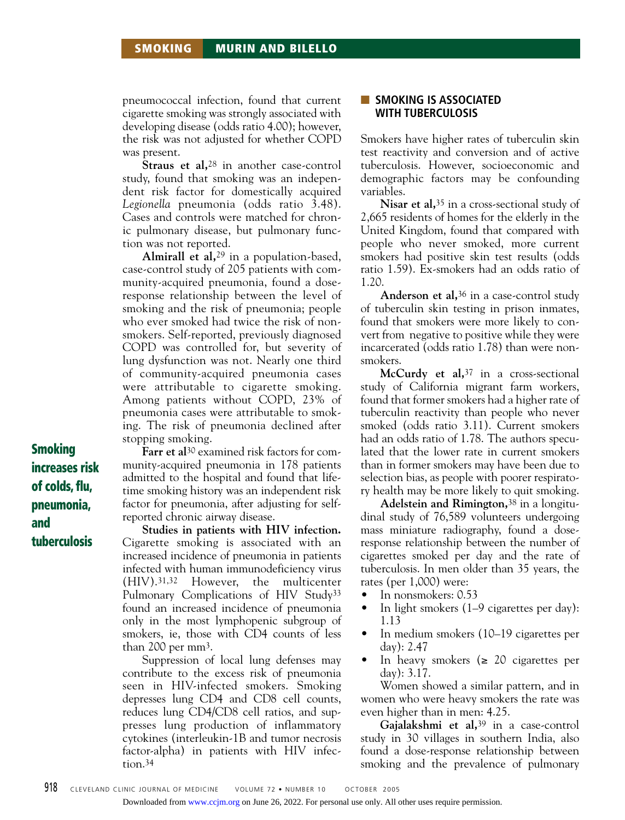# **SMOKING MURIN AND BILELLO**

pneumococcal infection, found that current cigarette smoking was strongly associated with developing disease (odds ratio 4.00); however, the risk was not adjusted for whether COPD was present.

**Straus et al,**28 in another case-control study, found that smoking was an independent risk factor for domestically acquired *Legionella* pneumonia (odds ratio 3.48). Cases and controls were matched for chronic pulmonary disease, but pulmonary function was not reported.

**Almirall et al,**29 in a population-based, case-control study of 205 patients with community-acquired pneumonia, found a doseresponse relationship between the level of smoking and the risk of pneumonia; people who ever smoked had twice the risk of nonsmokers. Self-reported, previously diagnosed COPD was controlled for, but severity of lung dysfunction was not. Nearly one third of community-acquired pneumonia cases were attributable to cigarette smoking. Among patients without COPD, 23% of pneumonia cases were attributable to smoking. The risk of pneumonia declined after stopping smoking.

**Smoking increases risk of colds, flu, pneumonia, and tuberculosis**

**Farr et al**30 examined risk factors for community-acquired pneumonia in 178 patients admitted to the hospital and found that lifetime smoking history was an independent risk factor for pneumonia, after adjusting for selfreported chronic airway disease.

**Studies in patients with HIV infection.** Cigarette smoking is associated with an increased incidence of pneumonia in patients infected with human immunodeficiency virus (HIV).31,32 However, the multicenter Pulmonary Complications of HIV Study33 found an increased incidence of pneumonia only in the most lymphopenic subgroup of smokers, ie, those with CD4 counts of less than 200 per  $mm<sup>3</sup>$ .

Suppression of local lung defenses may contribute to the excess risk of pneumonia seen in HIV-infected smokers. Smoking depresses lung CD4 and CD8 cell counts, reduces lung CD4/CD8 cell ratios, and suppresses lung production of inflammatory cytokines (interleukin-1B and tumor necrosis factor-alpha) in patients with HIV infection.34

## ■ **SMOKING IS ASSOCIATED WITH TUBERCULOSIS**

Smokers have higher rates of tuberculin skin test reactivity and conversion and of active tuberculosis. However, socioeconomic and demographic factors may be confounding variables.

**Nisar et al,**35 in a cross-sectional study of 2,665 residents of homes for the elderly in the United Kingdom, found that compared with people who never smoked, more current smokers had positive skin test results (odds ratio 1.59). Ex-smokers had an odds ratio of 1.20.

**Anderson et al,**36 in a case-control study of tuberculin skin testing in prison inmates, found that smokers were more likely to convert from negative to positive while they were incarcerated (odds ratio 1.78) than were nonsmokers.

**McCurdy et al,**37 in a cross-sectional study of California migrant farm workers, found that former smokers had a higher rate of tuberculin reactivity than people who never smoked (odds ratio 3.11). Current smokers had an odds ratio of 1.78. The authors speculated that the lower rate in current smokers than in former smokers may have been due to selection bias, as people with poorer respiratory health may be more likely to quit smoking.

**Adelstein and Rimington,**38 in a longitudinal study of 76,589 volunteers undergoing mass miniature radiography, found a doseresponse relationship between the number of cigarettes smoked per day and the rate of tuberculosis. In men older than 35 years, the rates (per 1,000) were:

- In nonsmokers: 0.53
- In light smokers (1–9 cigarettes per day): 1.13
- In medium smokers (10–19 cigarettes per day): 2.47
- In heavy smokers ( $\geq 20$  cigarettes per day): 3.17.

Women showed a similar pattern, and in women who were heavy smokers the rate was even higher than in men: 4.25.

**Gajalakshmi et al,**39 in a case-control study in 30 villages in southern India, also found a dose-response relationship between smoking and the prevalence of pulmonary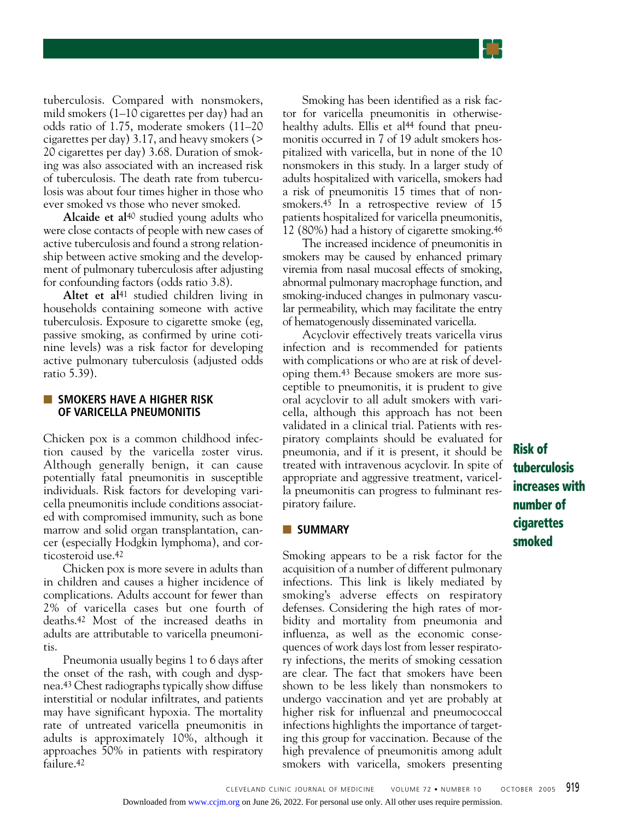tuberculosis. Compared with nonsmokers, mild smokers (1–10 cigarettes per day) had an odds ratio of 1.75, moderate smokers (11–20 cigarettes per day) 3.17, and heavy smokers (> 20 cigarettes per day) 3.68. Duration of smoking was also associated with an increased risk of tuberculosis. The death rate from tuberculosis was about four times higher in those who ever smoked vs those who never smoked.

**Alcaide et al**40 studied young adults who were close contacts of people with new cases of active tuberculosis and found a strong relationship between active smoking and the development of pulmonary tuberculosis after adjusting for confounding factors (odds ratio 3.8).

Altet et al<sup>41</sup> studied children living in households containing someone with active tuberculosis. Exposure to cigarette smoke (eg, passive smoking, as confirmed by urine cotinine levels) was a risk factor for developing active pulmonary tuberculosis (adjusted odds ratio 5.39).

#### ■ **SMOKERS HAVE A HIGHER RISK OF VARICELLA PNEUMONITIS**

Chicken pox is a common childhood infection caused by the varicella zoster virus. Although generally benign, it can cause potentially fatal pneumonitis in susceptible individuals. Risk factors for developing varicella pneumonitis include conditions associated with compromised immunity, such as bone marrow and solid organ transplantation, cancer (especially Hodgkin lymphoma), and corticosteroid use.42

Chicken pox is more severe in adults than in children and causes a higher incidence of complications. Adults account for fewer than 2% of varicella cases but one fourth of deaths.42 Most of the increased deaths in adults are attributable to varicella pneumonitis.

Pneumonia usually begins 1 to 6 days after the onset of the rash, with cough and dyspnea.43 Chest radiographs typically show diffuse interstitial or nodular infiltrates, and patients may have significant hypoxia. The mortality rate of untreated varicella pneumonitis in adults is approximately 10%, although it approaches 50% in patients with respiratory failure.42

Smoking has been identified as a risk factor for varicella pneumonitis in otherwisehealthy adults. Ellis et al<sup>44</sup> found that pneumonitis occurred in 7 of 19 adult smokers hospitalized with varicella, but in none of the 10 nonsmokers in this study. In a larger study of adults hospitalized with varicella, smokers had a risk of pneumonitis 15 times that of nonsmokers.<sup>45</sup> In a retrospective review of 15 patients hospitalized for varicella pneumonitis, 12 (80%) had a history of cigarette smoking.46

The increased incidence of pneumonitis in smokers may be caused by enhanced primary viremia from nasal mucosal effects of smoking, abnormal pulmonary macrophage function, and smoking-induced changes in pulmonary vascular permeability, which may facilitate the entry of hematogenously disseminated varicella.

Acyclovir effectively treats varicella virus infection and is recommended for patients with complications or who are at risk of developing them.43 Because smokers are more susceptible to pneumonitis, it is prudent to give oral acyclovir to all adult smokers with varicella, although this approach has not been validated in a clinical trial. Patients with respiratory complaints should be evaluated for pneumonia, and if it is present, it should be treated with intravenous acyclovir. In spite of appropriate and aggressive treatment, varicella pneumonitis can progress to fulminant respiratory failure.

#### ■ **SUMMARY**

Smoking appears to be a risk factor for the acquisition of a number of different pulmonary infections. This link is likely mediated by smoking's adverse effects on respiratory defenses. Considering the high rates of morbidity and mortality from pneumonia and influenza, as well as the economic consequences of work days lost from lesser respiratory infections, the merits of smoking cessation are clear. The fact that smokers have been shown to be less likely than nonsmokers to undergo vaccination and yet are probably at higher risk for influenzal and pneumococcal infections highlights the importance of targeting this group for vaccination. Because of the high prevalence of pneumonitis among adult smokers with varicella, smokers presenting